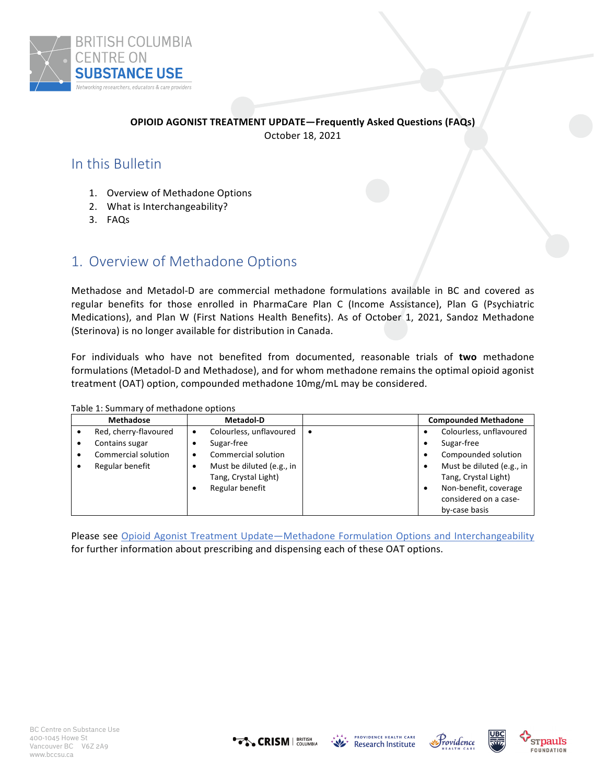

# **OPIOID AGONIST TREATMENT UPDATE—Frequently Asked Questions (FAQs)**

October 18, 2021

# In this Bulletin

- 1. Overview of Methadone Options
- 2. What is Interchangeability?
- 3. FAQs

# 1. Overview of Methadone Options

Methadose and Metadol-D are commercial methadone formulations available in BC and covered as regular benefits for those enrolled in PharmaCare Plan C (Income Assistance), Plan G (Psychiatric Medications), and Plan W (First Nations Health Benefits). As of October 1, 2021, Sandoz Methadone (Sterinova) is no longer available for distribution in Canada.

For individuals who have not benefited from documented, reasonable trials of **two** methadone formulations (Metadol-D and Methadose), and for whom methadone remains the optimal opioid agonist treatment (OAT) option, compounded methadone 10mg/mL may be considered.

|           | <b>Methadose</b>      |   | <b>Metadol-D</b>          |           | <b>Compounded Methadone</b> |
|-----------|-----------------------|---|---------------------------|-----------|-----------------------------|
|           | Red, cherry-flavoured | ٠ | Colourless, unflavoured   | $\bullet$ | Colourless, unflavoured     |
| $\bullet$ | Contains sugar        |   | Sugar-free                |           | Sugar-free                  |
|           | Commercial solution   |   | Commercial solution       |           | Compounded solution         |
|           | Regular benefit       |   | Must be diluted (e.g., in |           | Must be diluted (e.g., in   |
|           |                       |   | Tang, Crystal Light)      |           | Tang, Crystal Light)        |
|           |                       |   | Regular benefit           |           | Non-benefit, coverage       |
|           |                       |   |                           |           | considered on a case-       |
|           |                       |   |                           |           | by-case basis               |

Table 1: Summary of methadone options

Please see Opioid Agonist Treatment Update—Methadone Formulation Options and Interchangeability for further information about prescribing and dispensing each of these OAT options.







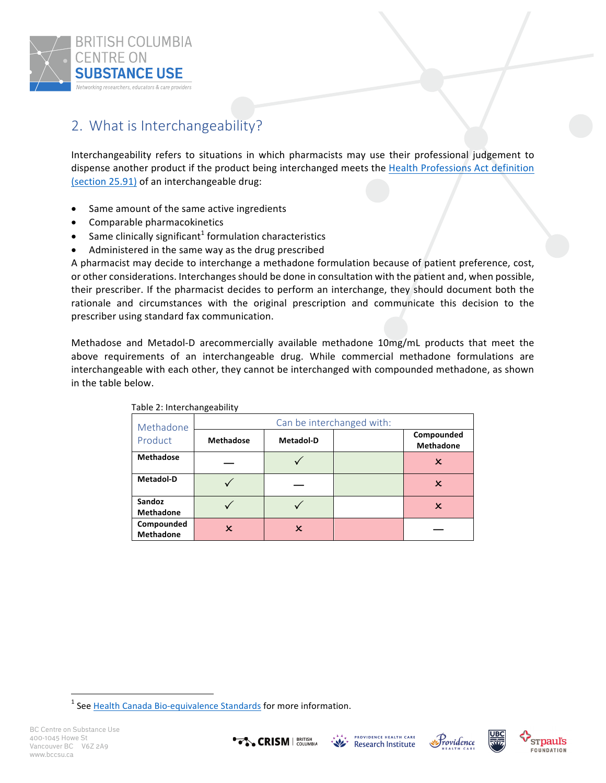

# 2. What is Interchangeability?

Interchangeability refers to situations in which pharmacists may use their professional judgement to dispense another product if the product being interchanged meets the Health Professions Act definition (section 25.91) of an interchangeable drug:

- Same amount of the same active ingredients
- Comparable pharmacokinetics
- Same clinically significant<sup>1</sup> formulation characteristics
- Administered in the same way as the drug prescribed

A pharmacist may decide to interchange a methadone formulation because of patient preference, cost, or other considerations. Interchanges should be done in consultation with the patient and, when possible, their prescriber. If the pharmacist decides to perform an interchange, they should document both the rationale and circumstances with the original prescription and communicate this decision to the prescriber using standard fax communication.

Methadose and Metadol-D arecommercially available methadone 10mg/mL products that meet the above requirements of an interchangeable drug. While commercial methadone formulations are interchangeable with each other, they cannot be interchanged with compounded methadone, as shown in the table below.

| $1.4812$ E.m.co. 0.10.150.00.11.0 |                           |                  |  |                                |  |  |  |  |  |
|-----------------------------------|---------------------------|------------------|--|--------------------------------|--|--|--|--|--|
| Methadone                         | Can be interchanged with: |                  |  |                                |  |  |  |  |  |
| Product                           | <b>Methadose</b>          | <b>Metadol-D</b> |  | Compounded<br><b>Methadone</b> |  |  |  |  |  |
| <b>Methadose</b>                  |                           |                  |  | x                              |  |  |  |  |  |
| Metadol-D                         |                           |                  |  | x                              |  |  |  |  |  |
| Sandoz<br><b>Methadone</b>        |                           |                  |  | x                              |  |  |  |  |  |
| Compounded<br><b>Methadone</b>    | x                         | x                |  |                                |  |  |  |  |  |

Table 2: Interchangeability

<u> 1989 - Johann Barn, mars ann an t-Amhain an t-Amhain an t-Amhain an t-Amhain an t-Amhain an t-Amhain an t-Amh</u>









 $<sup>1</sup>$  See Health Canada Bio-equivalence Standards for more information.</sup>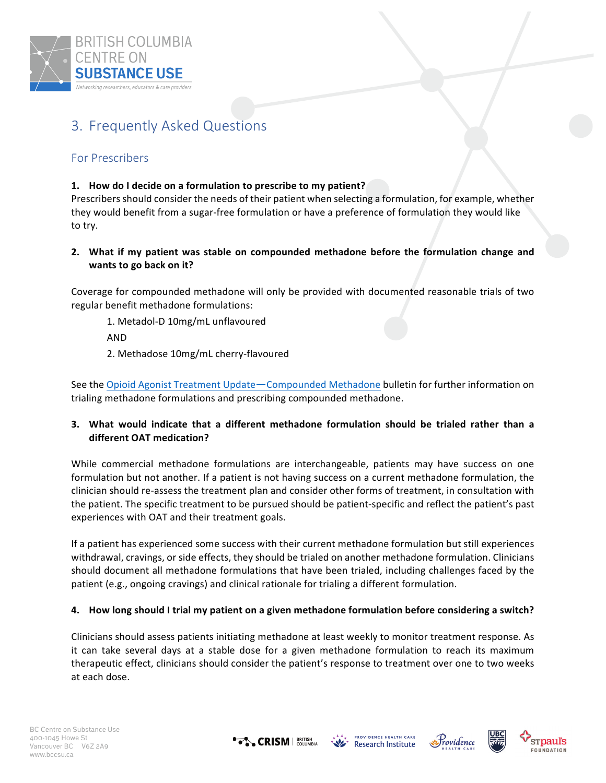

# 3. Frequently Asked Questions

# For Prescribers

## 1. How do I decide on a formulation to prescribe to my patient?

Prescribers should consider the needs of their patient when selecting a formulation, for example, whether they would benefit from a sugar-free formulation or have a preference of formulation they would like to try.

**2.** What if my patient was stable on compounded methadone before the formulation change and **wants to go back on it?** 

Coverage for compounded methadone will only be provided with documented reasonable trials of two regular benefit methadone formulations:

1. Metadol-D 10mg/mL unflavoured

AND 

2. Methadose 10mg/mL cherry-flavoured

See the Opioid Agonist Treatment Update—Compounded Methadone bulletin for further information on trialing methadone formulations and prescribing compounded methadone.

## **3. What would indicate that a different methadone formulation should be trialed rather than a different OAT medication?**

While commercial methadone formulations are interchangeable, patients may have success on one formulation but not another. If a patient is not having success on a current methadone formulation, the clinician should re-assess the treatment plan and consider other forms of treatment, in consultation with the patient. The specific treatment to be pursued should be patient-specific and reflect the patient's past experiences with OAT and their treatment goals.

If a patient has experienced some success with their current methadone formulation but still experiences withdrawal, cravings, or side effects, they should be trialed on another methadone formulation. Clinicians should document all methadone formulations that have been trialed, including challenges faced by the patient (e.g., ongoing cravings) and clinical rationale for trialing a different formulation.

### **4.** How long should I trial my patient on a given methadone formulation before considering a switch?

Clinicians should assess patients initiating methadone at least weekly to monitor treatment response. As it can take several days at a stable dose for a given methadone formulation to reach its maximum therapeutic effect, clinicians should consider the patient's response to treatment over one to two weeks at each dose.







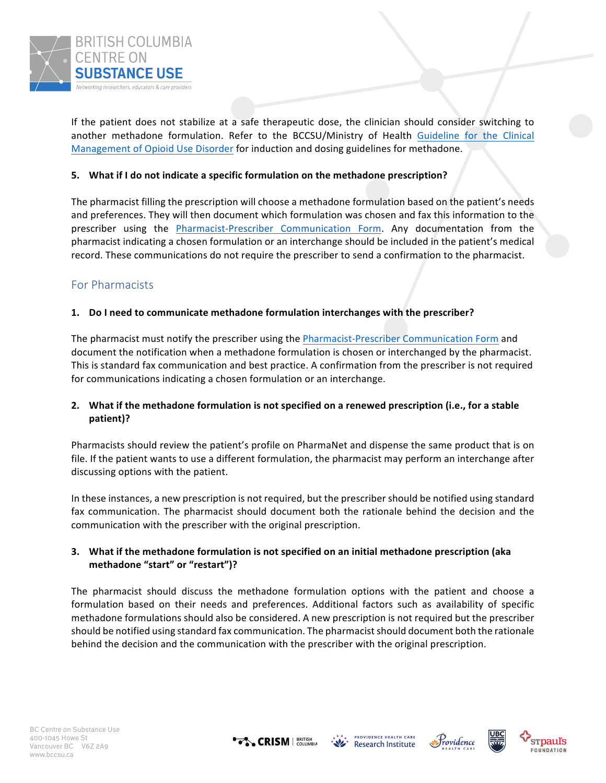

If the patient does not stabilize at a safe therapeutic dose, the clinician should consider switching to another methadone formulation. Refer to the BCCSU/Ministry of Health Guideline for the Clinical Management of Opioid Use Disorder for induction and dosing guidelines for methadone.

#### **5.** What if I do not indicate a specific formulation on the methadone prescription?

The pharmacist filling the prescription will choose a methadone formulation based on the patient's needs and preferences. They will then document which formulation was chosen and fax this information to the prescriber using the **Pharmacist-Prescriber** Communication Form. Any documentation from the pharmacist indicating a chosen formulation or an interchange should be included in the patient's medical record. These communications do not require the prescriber to send a confirmation to the pharmacist.

# For Pharmacists

#### **1.** Do I need to communicate methadone formulation interchanges with the prescriber?

The pharmacist must notify the prescriber using the Pharmacist-Prescriber Communication Form and document the notification when a methadone formulation is chosen or interchanged by the pharmacist. This is standard fax communication and best practice. A confirmation from the prescriber is not required for communications indicating a chosen formulation or an interchange.

### **2.** What if the methadone formulation is not specified on a renewed prescription (i.e., for a stable **patient)?**

Pharmacists should review the patient's profile on PharmaNet and dispense the same product that is on file. If the patient wants to use a different formulation, the pharmacist may perform an interchange after discussing options with the patient.

In these instances, a new prescription is not required, but the prescriber should be notified using standard fax communication. The pharmacist should document both the rationale behind the decision and the communication with the prescriber with the original prescription.

### **3.** What if the methadone formulation is not specified on an initial methadone prescription (aka methadone "start" or "restart")?

The pharmacist should discuss the methadone formulation options with the patient and choose a formulation based on their needs and preferences. Additional factors such as availability of specific methadone formulations should also be considered. A new prescription is not required but the prescriber should be notified using standard fax communication. The pharmacist should document both the rationale behind the decision and the communication with the prescriber with the original prescription.